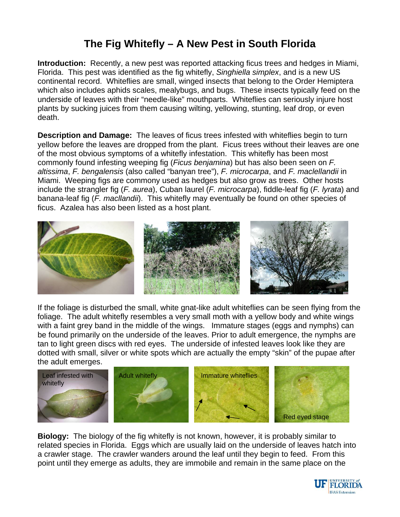## **The Fig Whitefly – A New Pest in South Florida**

**Introduction:** Recently, a new pest was reported attacking ficus trees and hedges in Miami, Florida. This pest was identified as the fig whitefly, *Singhiella simplex*, and is a new US continental record. Whiteflies are small, winged insects that belong to the Order Hemiptera which also includes aphids scales, mealybugs, and bugs. These insects typically feed on the underside of leaves with their "needle-like" mouthparts. Whiteflies can seriously injure host plants by sucking juices from them causing wilting, yellowing, stunting, leaf drop, or even death.

**Description and Damage:** The leaves of ficus trees infested with whiteflies begin to turn yellow before the leaves are dropped from the plant. Ficus trees without their leaves are one of the most obvious symptoms of a whitefly infestation. This whitefly has been most commonly found infesting weeping fig (*Ficus benjamina*) but has also been seen on *F. altissima*, *F. bengalensis* (also called "banyan tree"), *F. microcarpa*, and *F. maclellandii* in Miami. Weeping figs are commony used as hedges but also grow as trees. Other hosts include the strangler fig (*F. aurea*), Cuban laurel (*F. microcarpa*), fiddle-leaf fig (*F. lyrata*) and banana-leaf fig (*F. macllandii*). This whitefly may eventually be found on other species of ficus. Azalea has also been listed as a host plant.



If the foliage is disturbed the small, white gnat-like adult whiteflies can be seen flying from the foliage. The adult whitefly resembles a very small moth with a yellow body and white wings with a faint grey band in the middle of the wings. Immature stages (eggs and nymphs) can be found primarily on the underside of the leaves. Prior to adult emergence, the nymphs are tan to light green discs with red eyes. The underside of infested leaves look like they are dotted with small, silver or white spots which are actually the empty "skin" of the pupae after the adult emerges.



**Biology:** The biology of the fig whitefly is not known, however, it is probably similar to related species in Florida. Eggs which are usually laid on the underside of leaves hatch into a crawler stage. The crawler wanders around the leaf until they begin to feed. From this point until they emerge as adults, they are immobile and remain in the same place on the

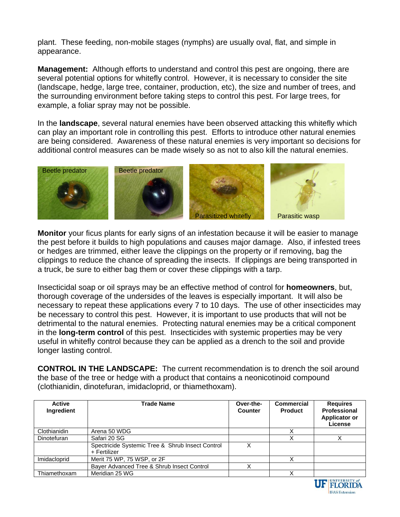plant. These feeding, non-mobile stages (nymphs) are usually oval, flat, and simple in appearance.

**Management:** Although efforts to understand and control this pest are ongoing, there are several potential options for whitefly control. However, it is necessary to consider the site (landscape, hedge, large tree, container, production, etc), the size and number of trees, and the surrounding environment before taking steps to control this pest. For large trees, for example, a foliar spray may not be possible.

In the **landscape**, several natural enemies have been observed attacking this whitefly which can play an important role in controlling this pest. Efforts to introduce other natural enemies are being considered. Awareness of these natural enemies is very important so decisions for additional control measures can be made wisely so as not to also kill the natural enemies.



**Monitor** your ficus plants for early signs of an infestation because it will be easier to manage the pest before it builds to high populations and causes major damage. Also, if infested trees or hedges are trimmed, either leave the clippings on the property or if removing, bag the clippings to reduce the chance of spreading the insects. If clippings are being transported in a truck, be sure to either bag them or cover these clippings with a tarp.

Insecticidal soap or oil sprays may be an effective method of control for **homeowners**, but, thorough coverage of the undersides of the leaves is especially important. It will also be necessary to repeat these applications every 7 to 10 days. The use of other insecticides may be necessary to control this pest. However, it is important to use products that will not be detrimental to the natural enemies. Protecting natural enemies may be a critical component in the **long-term control** of this pest. Insecticides with systemic properties may be very useful in whitefly control because they can be applied as a drench to the soil and provide longer lasting control.

**CONTROL IN THE LANDSCAPE:** The current recommendation is to drench the soil around the base of the tree or hedge with a product that contains a neonicotinoid compound (clothianidin, dinotefuran, imidacloprid, or thiamethoxam).

| <b>Active</b><br><b>Ingredient</b> | <b>Trade Name</b>                                                | Over-the-<br><b>Counter</b> | <b>Commercial</b><br><b>Product</b> | <b>Requires</b><br>Professional<br>Applicator or<br>License |
|------------------------------------|------------------------------------------------------------------|-----------------------------|-------------------------------------|-------------------------------------------------------------|
| Clothianidin                       | Arena 50 WDG                                                     |                             |                                     |                                                             |
| <b>Dinotefuran</b>                 | Safari 20 SG                                                     |                             | X                                   |                                                             |
|                                    | Spectricide Systemic Tree & Shrub Insect Control<br>+ Fertilizer |                             |                                     |                                                             |
| Imidacloprid                       | Merit 75 WP, 75 WSP, or 2F                                       |                             |                                     |                                                             |
|                                    | Bayer Advanced Tree & Shrub Insect Control                       |                             |                                     |                                                             |
| Thiamethoxam                       | Meridian 25 WG                                                   |                             | Χ                                   |                                                             |